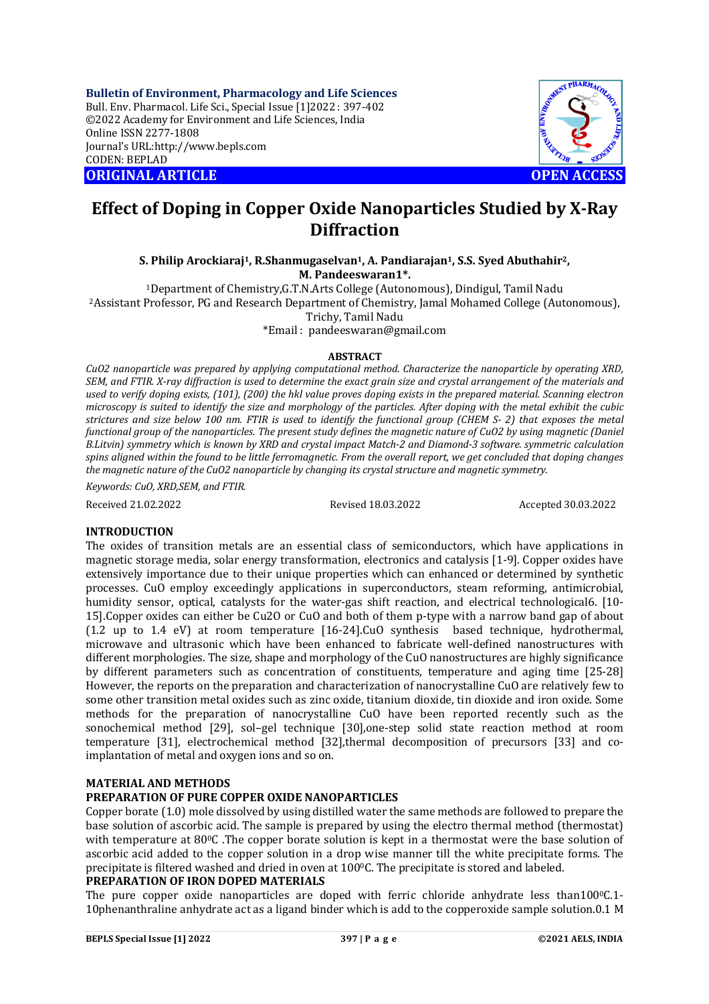**Bulletin of Environment, Pharmacology and Life Sciences** Bull. Env. Pharmacol. Life Sci., Special Issue [1]2022 : 397-402 ©2022 Academy for Environment and Life Sciences, India Online ISSN 2277-1808 Journal's URL:<http://www.bepls.com> CODEN: BEPLAD **ORIGINAL ARTICLE OPEN ACCESS** 



# **Effect of Doping in Copper Oxide Nanoparticles Studied by X-Ray Diffraction**

**S. Philip Arockiaraj1, R.Shanmugaselvan1, A. Pandiarajan1, S.S. Syed Abuthahir2, M. Pandeeswaran1\*.**

<sup>1</sup>Department of Chemistry,G.T.N.Arts College (Autonomous), Dindigul, Tamil Nadu <sup>2</sup>Assistant Professor, PG and Research Department of Chemistry, Jamal Mohamed College (Autonomous), Trichy, Tamil Nadu

\*Email : [pandeeswaran@gmail.com](mailto:pandeeswaran@gmail.com)

# **ABSTRACT**

*CuO2 nanoparticle was prepared by applying computational method. Characterize the nanoparticle by operating XRD, SEM, and FTIR. X-ray diffraction is used to determine the exact grain size and crystal arrangement of the materials and used to verify doping exists, (101), (200) the hkl value proves doping exists in the prepared material. Scanning electron microscopy is suited to identify the size and morphology of the particles. After doping with the metal exhibit the cubic strictures and size below 100 nm. FTIR is used to identify the functional group (CHEM S- 2) that exposes the metal functional group of the nanoparticles. The present study defines the magnetic nature of CuO2 by using magnetic (Daniel B.Litvin) symmetry which is known by XRD and crystal impact Match-2 and Diamond-3 software. symmetric calculation spins aligned within the found to be little ferromagnetic. From the overall report, we get concluded that doping changes the magnetic nature of the CuO2 nanoparticle by changing its crystal structure and magnetic symmetry.*

*Keywords: CuO, XRD,SEM, and FTIR.*

Received 21.02.2022 Revised 18.03.2022 Accepted 30.03.2022

# **INTRODUCTION**

The oxides of transition metals are an essential class of semiconductors, which have applications in magnetic storage media, solar energy transformation, electronics and catalysis [1-9]. Copper oxides have extensively importance due to their unique properties which can enhanced or determined by synthetic processes. CuO employ exceedingly applications in superconductors, steam reforming, antimicrobial, humidity sensor, optical, catalysts for the water-gas shift reaction, and electrical technological6. [10- 15].Copper oxides can either be Cu2O or CuO and both of them p-type with a narrow band gap of about (1.2 up to 1.4 eV) at room temperature [16-24].CuO synthesis based technique, hydrothermal, microwave and ultrasonic which have been enhanced to fabricate well-defined nanostructures with different morphologies. The size, shape and morphology of the CuO nanostructures are highly significance by different parameters such as concentration of constituents, temperature and aging time [25-28] However, the reports on the preparation and characterization of nanocrystalline CuO are relatively few to some other transition metal oxides such as zinc oxide, titanium dioxide, tin dioxide and iron oxide. Some methods for the preparation of nanocrystalline CuO have been reported recently such as the sonochemical method [29], sol–gel technique [30],one-step solid state reaction method at room temperature [31], electrochemical method [32],thermal decomposition of precursors [33] and coimplantation of metal and oxygen ions and so on.

# **MATERIAL AND METHODS**

# **PREPARATION OF PURE COPPER OXIDE NANOPARTICLES**

Copper borate (1.0) mole dissolved by using distilled water the same methods are followed to prepare the base solution of ascorbic acid. The sample is prepared by using the electro thermal method (thermostat) with temperature at 800C .The copper borate solution is kept in a thermostat were the base solution of ascorbic acid added to the copper solution in a drop wise manner till the white precipitate forms. The precipitate is filtered washed and dried in oven at 100°C. The precipitate is stored and labeled.

# **PREPARATION OF IRON DOPED MATERIALS**

The pure copper oxide nanoparticles are doped with ferric chloride anhydrate less than100 $\degree$ C.1-10phenanthraline anhydrate act as a ligand binder which is add to the copperoxide sample solution.0.1 M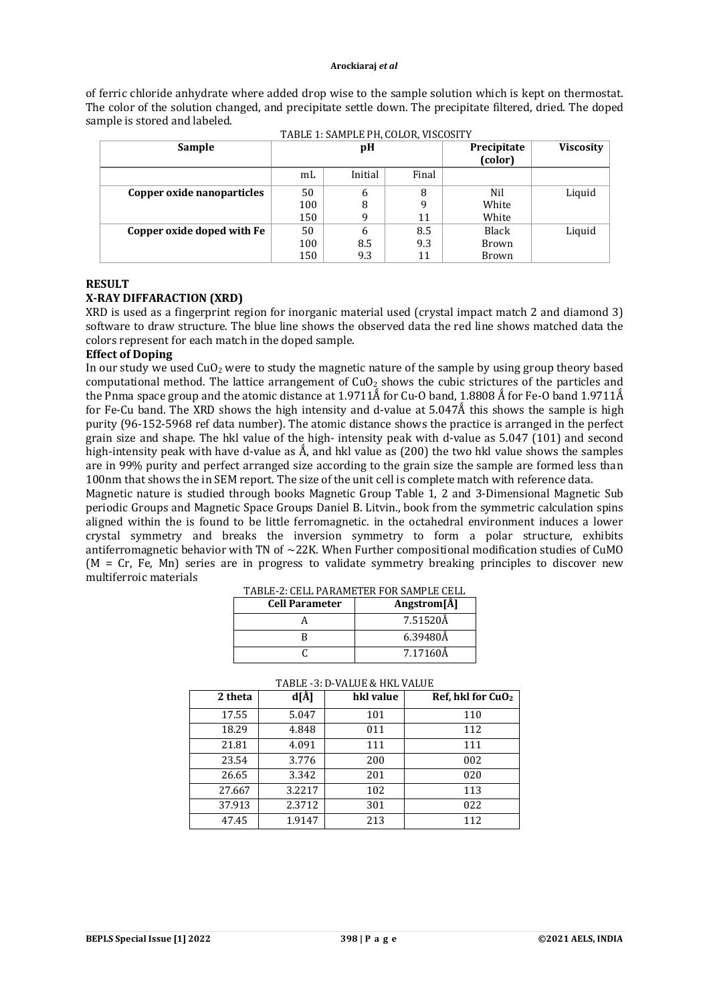of ferric chloride anhydrate where added drop wise to the sample solution which is kept on thermostat. The color of the solution changed, and precipitate settle down. The precipitate filtered, dried. The doped sample is stored and labeled. TABLE 1: SAMPLE PH, COLOR, VISCOSITY

| <b>Sample</b>              | pH  |         |       | Precipitate<br>(color) | <b>Viscosity</b> |
|----------------------------|-----|---------|-------|------------------------|------------------|
|                            | mL  | Initial | Final |                        |                  |
| Copper oxide nanoparticles | 50  | 6       | 8     | Nil                    | Liquid           |
|                            | 100 |         | q     | White                  |                  |
|                            | 150 |         | 11    | White                  |                  |
| Copper oxide doped with Fe | 50  |         | 8.5   | Black                  | Liquid           |
|                            | 100 | 8.5     | 9.3   | Brown                  |                  |
|                            | 150 | 9.3     | 11    | Brown                  |                  |

### **RESULT**

# **X-RAY DIFFARACTION (XRD)**

XRD is used as a fingerprint region for inorganic material used (crystal impact match 2 and diamond 3) software to draw structure. The blue line shows the observed data the red line shows matched data the colors represent for each match in the doped sample.

### **Effect of Doping**

In our study we used  $CuO<sub>2</sub>$  were to study the magnetic nature of the sample by using group theory based computational method. The lattice arrangement of  $CuO<sub>2</sub>$  shows the cubic strictures of the particles and the Pnma space group and the atomic distance at 1.9711Å for Cu-O band, 1.8808 Å for Fe-O band 1.9711Å for Fe-Cu band. The XRD shows the high intensity and d-value at 5.047Å this shows the sample is high purity (96-152-5968 ref data number). The atomic distance shows the practice is arranged in the perfect grain size and shape. The hkl value of the high- intensity peak with d-value as 5.047 (101) and second high-intensity peak with have d-value as  $\hat{A}$ , and hkl value as (200) the two hkl value shows the samples are in 99% purity and perfect arranged size according to the grain size the sample are formed less than 100nm that shows the in SEM report. The size of the unit cell is complete match with reference data.

Magnetic nature is studied through books Magnetic Group Table 1, 2 and 3-Dimensional Magnetic Sub periodic Groups and Magnetic Space Groups Daniel B. Litvin., book from the symmetric calculation spins aligned within the is found to be little ferromagnetic. in the octahedral environment induces a lower crystal symmetry and breaks the inversion symmetry to form a polar structure, exhibits antiferromagnetic behavior with TN of ∼22K. When Further compositional modification studies of CuMO  $(M = Cr, Fe, Mn)$  series are in progress to validate symmetry breaking principles to discover new multiferroic materials

| <b>Cell Parameter</b> | Angstrom[A] |
|-----------------------|-------------|
|                       | 7.51520Å    |
|                       | 6.39480Å    |
|                       | 7.17160Å    |

TABLE-2: CELL PARAMETER FOR SAMPLE CELL

| TABLE -3: D-VALUE & HKL VALUE |         |        |           |                               |  |  |  |  |
|-------------------------------|---------|--------|-----------|-------------------------------|--|--|--|--|
|                               | 2 theta | d[Å]   | hkl value | Ref, hkl for CuO <sub>2</sub> |  |  |  |  |
|                               | 17.55   | 5.047  | 101       | 110                           |  |  |  |  |
|                               | 18.29   | 4.848  | 011       | 112                           |  |  |  |  |
|                               | 21.81   | 4.091  | 111       | 111                           |  |  |  |  |
|                               | 23.54   | 3.776  | 200       | 002                           |  |  |  |  |
|                               | 26.65   | 3.342  | 201       | 020                           |  |  |  |  |
|                               | 27.667  | 3.2217 | 102       | 113                           |  |  |  |  |
|                               | 37.913  | 2.3712 | 301       | 022                           |  |  |  |  |
|                               | 47.45   | 1.9147 | 213       | 112                           |  |  |  |  |

### TABLE -3: D-VALUE & HKL VALUE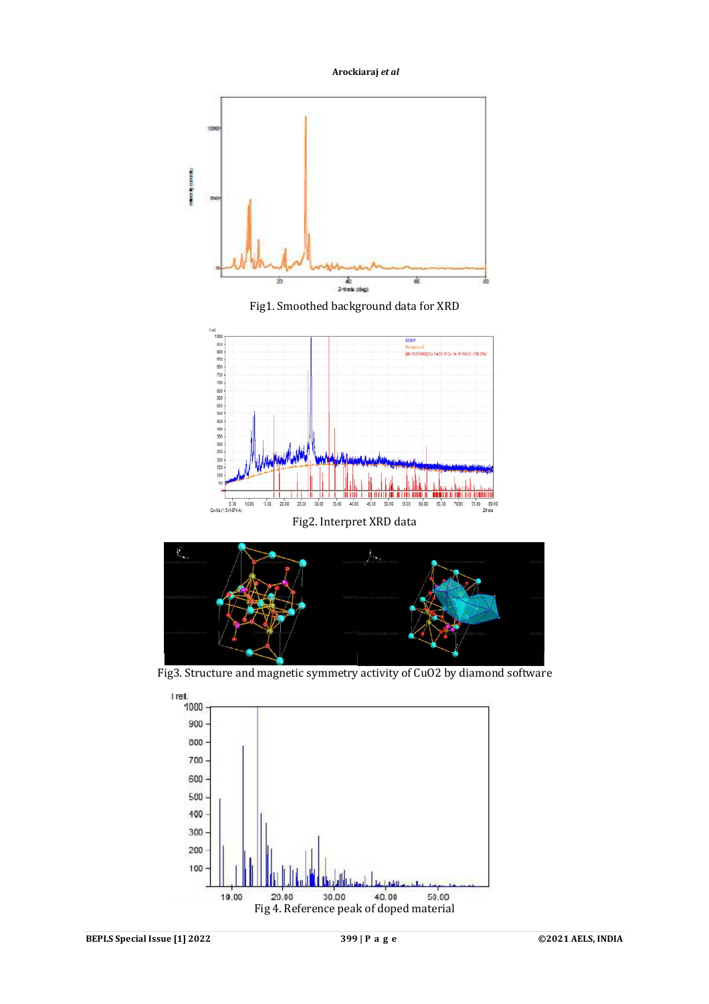**Arockiaraj** *et al*



Fig1. Smoothed background data for XRD



Fig2. Interpret XRD data



Fig3. Structure and magnetic symmetry activity of CuO2 by diamond software

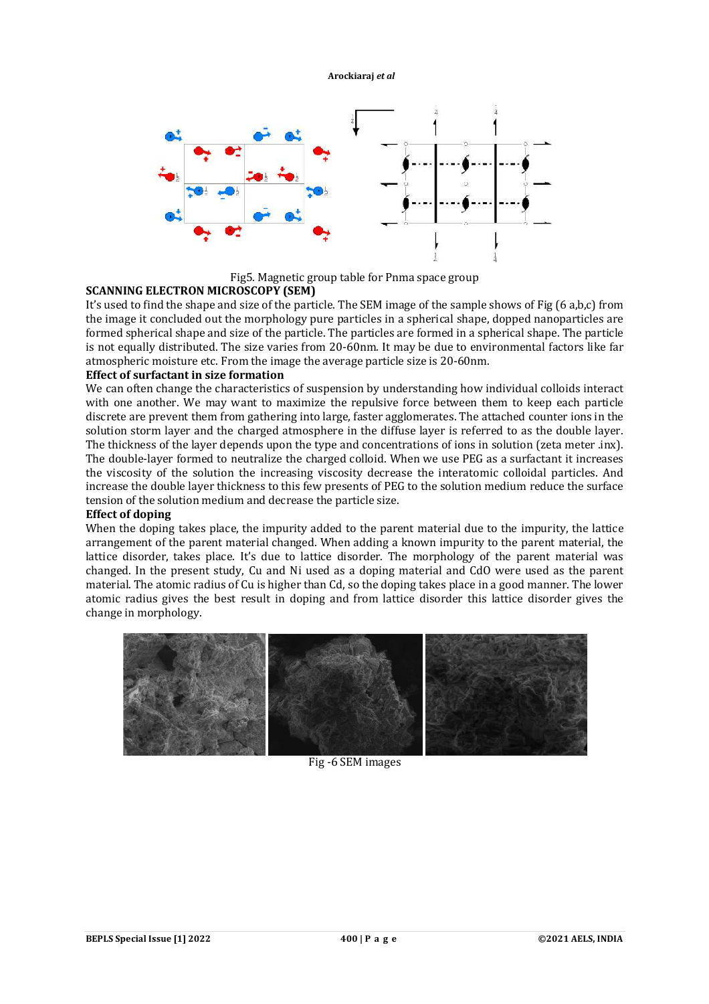#### **Arockiaraj** *et al*



Fig5. Magnetic group table for Pnma space group

# **SCANNING ELECTRON MICROSCOPY (SEM)**

It's used to find the shape and size of the particle. The SEM image of the sample shows of Fig (6 a,b,c) from the image it concluded out the morphology pure particles in a spherical shape, dopped nanoparticles are formed spherical shape and size of the particle. The particles are formed in a spherical shape. The particle is not equally distributed. The size varies from 20-60nm. It may be due to environmental factors like far atmospheric moisture etc. From the image the average particle size is 20-60nm.

# **Effect of surfactant in size formation**

We can often change the characteristics of suspension by understanding how individual colloids interact with one another. We may want to maximize the repulsive force between them to keep each particle discrete are prevent them from gathering into large, faster agglomerates. The attached counter ions in the solution storm layer and the charged atmosphere in the diffuse layer is referred to as the double layer. The thickness of the layer depends upon the type and concentrations of ions in solution (zeta meter .inx). The double-layer formed to neutralize the charged colloid. When we use PEG as a surfactant it increases the viscosity of the solution the increasing viscosity decrease the interatomic colloidal particles. And increase the double layer thickness to this few presents of PEG to the solution medium reduce the surface tension of the solution medium and decrease the particle size.

# **Effect of doping**

When the doping takes place, the impurity added to the parent material due to the impurity, the lattice arrangement of the parent material changed. When adding a known impurity to the parent material, the lattice disorder, takes place. It's due to lattice disorder. The morphology of the parent material was changed. In the present study, Cu and Ni used as a doping material and CdO were used as the parent material. The atomic radius of Cu is higher than Cd, so the doping takes place in a good manner. The lower atomic radius gives the best result in doping and from lattice disorder this lattice disorder gives the change in morphology.



Fig -6 SEM images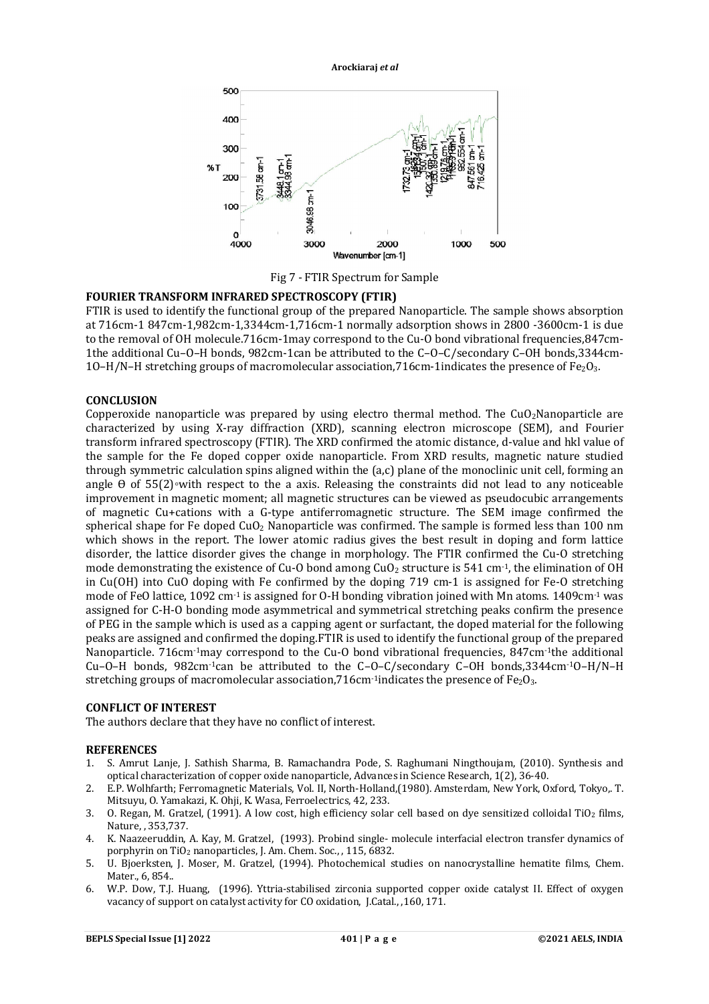500  $A<sub>0</sub>$ 300  $96T$ 200 3046.98 cm-1  $100$ 4000 3000 2000 1000 500 Wavenumber [cm-1]

**Arockiaraj** *et al*

Fig 7 - FTIR Spectrum for Sample

# **FOURIER TRANSFORM INFRARED SPECTROSCOPY (FTIR)**

FTIR is used to identify the functional group of the prepared Nanoparticle. The sample shows absorption at 716cm-1 847cm-1,982cm-1,3344cm-1,716cm-1 normally adsorption shows in 2800 -3600cm-1 is due to the removal of OH molecule.716cm-1may correspond to the Cu-O bond vibrational frequencies,847cm-1the additional Cu–O–H bonds, 982cm-1can be attributed to the C–O–C/secondary C–OH bonds,3344cm-1O–H/N–H stretching groups of macromolecular association,716cm-1indicates the presence of Fe<sub>2</sub>O<sub>3</sub>.

# **CONCLUSION**

Copperoxide nanoparticle was prepared by using electro thermal method. The  $CuO<sub>2</sub>N$ anoparticle are characterized by using X-ray diffraction (XRD), scanning electron microscope (SEM), and Fourier transform infrared spectroscopy (FTIR). The XRD confirmed the atomic distance, d-value and hkl value of the sample for the Fe doped copper oxide nanoparticle. From XRD results, magnetic nature studied through symmetric calculation spins aligned within the (a,c) plane of the monoclinic unit cell, forming an angle  $\theta$  of 55(2)∘with respect to the a axis. Releasing the constraints did not lead to any noticeable improvement in magnetic moment; all magnetic structures can be viewed as pseudocubic arrangements of magnetic Cu+cations with a G-type antiferromagnetic structure. The SEM image confirmed the spherical shape for Fe doped CuO<sub>2</sub> Nanoparticle was confirmed. The sample is formed less than 100 nm which shows in the report. The lower atomic radius gives the best result in doping and form lattice disorder, the lattice disorder gives the change in morphology. The FTIR confirmed the Cu-O stretching mode demonstrating the existence of Cu-O bond among  $CuO<sub>2</sub>$  structure is 541 cm<sup>-1</sup>, the elimination of OH in Cu(OH) into CuO doping with Fe confirmed by the doping 719 cm-1 is assigned for Fe-O stretching mode of FeO lattice, 1092 cm-1 is assigned for O-H bonding vibration joined with Mn atoms. 1409cm-1 was assigned for C-H-O bonding mode asymmetrical and symmetrical stretching peaks confirm the presence of PEG in the sample which is used as a capping agent or surfactant, the doped material for the following peaks are assigned and confirmed the doping.FTIR is used to identify the functional group of the prepared Nanoparticle. 716cm-1may correspond to the Cu-O bond vibrational frequencies, 847cm-1the additional Cu–O–H bonds, 982cm-1can be attributed to the C–O–C/secondary C–OH bonds,3344cm-1O–H/N–H stretching groups of macromolecular association,  $716$ cm<sup>-1</sup>indicates the presence of Fe<sub>2</sub>O<sub>3</sub>.

# **CONFLICT OF INTEREST**

The authors declare that they have no conflict of interest.

#### **REFERENCES**

- 1. S. Amrut Lanje, J. Sathish Sharma, B. Ramachandra Pode, S. Raghumani Ningthoujam, (2010). Synthesis and optical characterization of copper oxide nanoparticle, Advances in Science Research, 1(2), 36-40.
- 2. E.P. Wolhfarth; Ferromagnetic Materials, Vol. II, North-Holland,(1980). Amsterdam, New York, Oxford, Tokyo,. T. Mitsuyu, O. Yamakazi, K. Ohji, K. Wasa, Ferroelectrics, 42, 233.
- 3. O. Regan, M. Gratzel,  $(1991)$ . A low cost, high efficiency solar cell based on dye sensitized colloidal TiO<sub>2</sub> films, Nature, , 353,737.
- 4. K. Naazeeruddin, A. Kay, M. Gratzel, (1993). Probind single- molecule interfacial electron transfer dynamics of porphyrin on TiO<sup>2</sup> nanoparticles, J. Am. Chem. Soc., , 115, 6832.
- 5. U. Bjoerksten, J. Moser, M. Gratzel, (1994). Photochemical studies on nanocrystalline hematite films, Chem. Mater., 6, 854..
- 6. W.P. Dow, T.J. Huang, (1996). Yttria-stabilised zirconia supported copper oxide catalyst II. Effect of oxygen vacancy of support on catalyst activity for CO oxidation, J.Catal., ,160, 171.